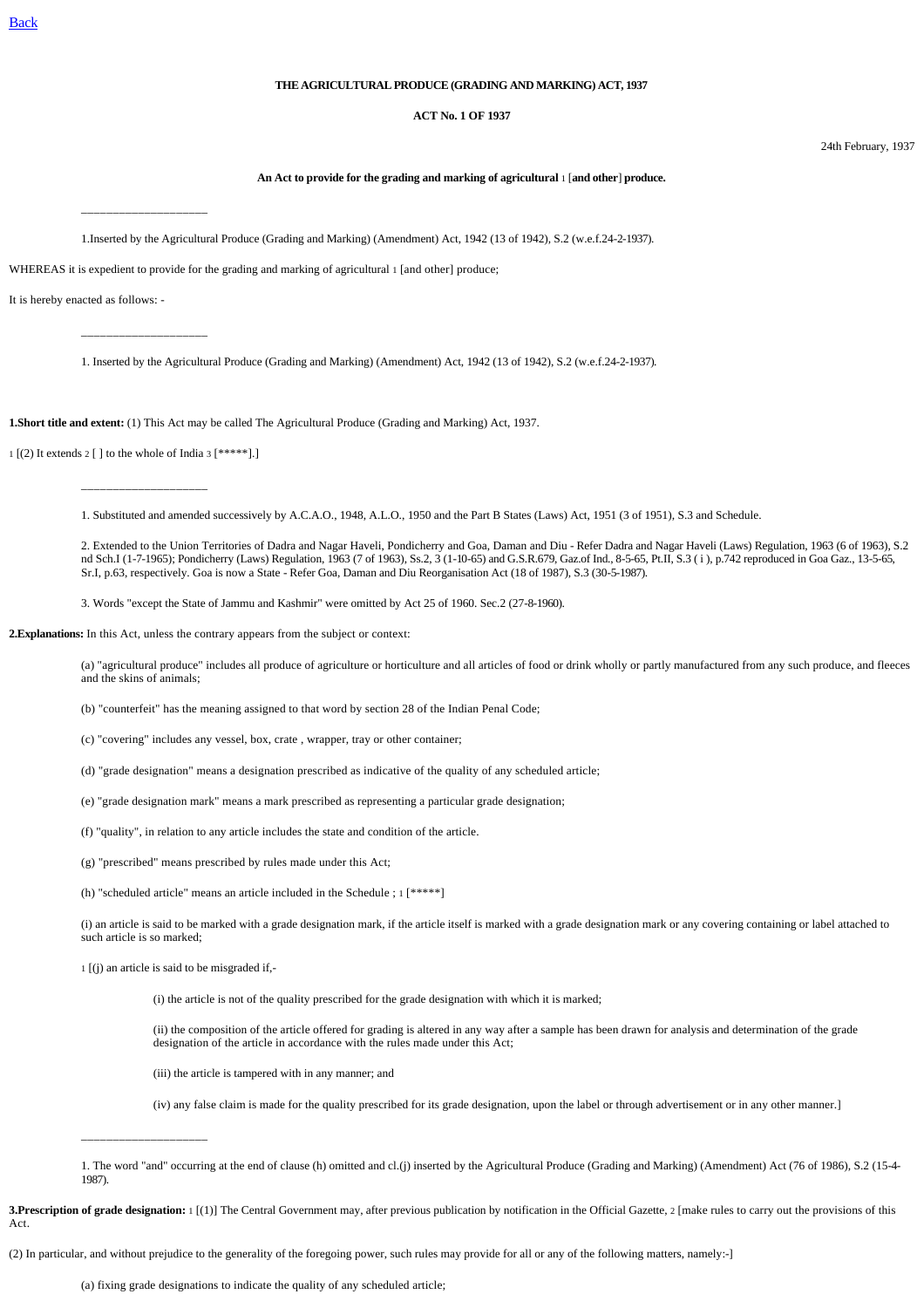## **THE AGRICULTURAL PRODUCE (GRADING AND MARKING) ACT, 1937**

#### **ACT No. 1 OF 1937**

24th February, 1937

### **An Act to provide for the grading and marking of agricultural** 1 [**and other**] **produce.**

\_\_\_\_\_\_\_\_\_\_\_\_\_\_\_\_\_\_\_\_

\_\_\_\_\_\_\_\_\_\_\_\_\_\_\_\_\_\_\_\_

1.Inserted by the Agricultural Produce (Grading and Marking) (Amendment) Act, 1942 (13 of 1942), S.2 (w.e.f.24-2-1937).

WHEREAS it is expedient to provide for the grading and marking of agricultural 1 [and other] produce;

It is hereby enacted as follows: -

1. Inserted by the Agricultural Produce (Grading and Marking) (Amendment) Act, 1942 (13 of 1942), S.2 (w.e.f.24-2-1937).

**1.Short title and extent:** (1) This Act may be called The Agricultural Produce (Grading and Marking) Act, 1937.

 $1$  [(2) It extends  $2$  [ ] to the whole of India 3 [\*\*\*\*\*].]

\_\_\_\_\_\_\_\_\_\_\_\_\_\_\_\_\_\_\_\_

1. Substituted and amended successively by A.C.A.O., 1948, A.L.O., 1950 and the Part B States (Laws) Act, 1951 (3 of 1951), S.3 and Schedule.

2. Extended to the Union Territories of Dadra and Nagar Haveli, Pondicherry and Goa, Daman and Diu - Refer Dadra and Nagar Haveli (Laws) Regulation, 1963 (6 of 1963), S.2 nd Sch.I (1-7-1965); Pondicherry (Laws) Regulation, 1963 (7 of 1963), Ss.2, 3 (1-10-65) and G.S.R.679, Gaz.of Ind., 8-5-65, Pt.II, S.3 ( i ), p.742 reproduced in Goa Gaz., 13-5-65, Sr.I, p.63, respectively. Goa is now a State - Refer Goa, Daman and Diu Reorganisation Act (18 of 1987), S.3 (30-5-1987).

3. Words "except the State of Jammu and Kashmir" were omitted by Act 25 of 1960. Sec.2 (27-8-1960).

**2.Explanations:** In this Act, unless the contrary appears from the subject or context:

(a) "agricultural produce" includes all produce of agriculture or horticulture and all articles of food or drink wholly or partly manufactured from any such produce, and fleeces and the skins of animals;

(b) "counterfeit" has the meaning assigned to that word by section 28 of the Indian Penal Code;

(c) "covering" includes any vessel, box, crate , wrapper, tray or other container;

(d) "grade designation" means a designation prescribed as indicative of the quality of any scheduled article;

(e) "grade designation mark" means a mark prescribed as representing a particular grade designation;

(f) "quality", in relation to any article includes the state and condition of the article.

(g) "prescribed" means prescribed by rules made under this Act;

(h) "scheduled article" means an article included in the Schedule ; 1 [\*\*\*\*\*]

(i) an article is said to be marked with a grade designation mark, if the article itself is marked with a grade designation mark or any covering containing or label attached to such article is so marked;

1 [(j) an article is said to be misgraded if,-

\_\_\_\_\_\_\_\_\_\_\_\_\_\_\_\_\_\_\_\_

(i) the article is not of the quality prescribed for the grade designation with which it is marked;

(ii) the composition of the article offered for grading is altered in any way after a sample has been drawn for analysis and determination of the grade designation of the article in accordance with the rules made under this Act;

(iii) the article is tampered with in any manner; and

(iv) any false claim is made for the quality prescribed for its grade designation, upon the label or through advertisement or in any other manner.]

**3.Prescription of grade designation:** 1 [(1)] The Central Government may, after previous publication by notification in the Official Gazette, 2 [make rules to carry out the provisions of this Act.

(2) In particular, and without prejudice to the generality of the foregoing power, such rules may provide for all or any of the following matters, namely:-]

(a) fixing grade designations to indicate the quality of any scheduled article;

<sup>1.</sup> The word "and" occurring at the end of clause (h) omitted and cl.(j) inserted by the Agricultural Produce (Grading and Marking) (Amendment) Act (76 of 1986), S.2 (15-4- 1987).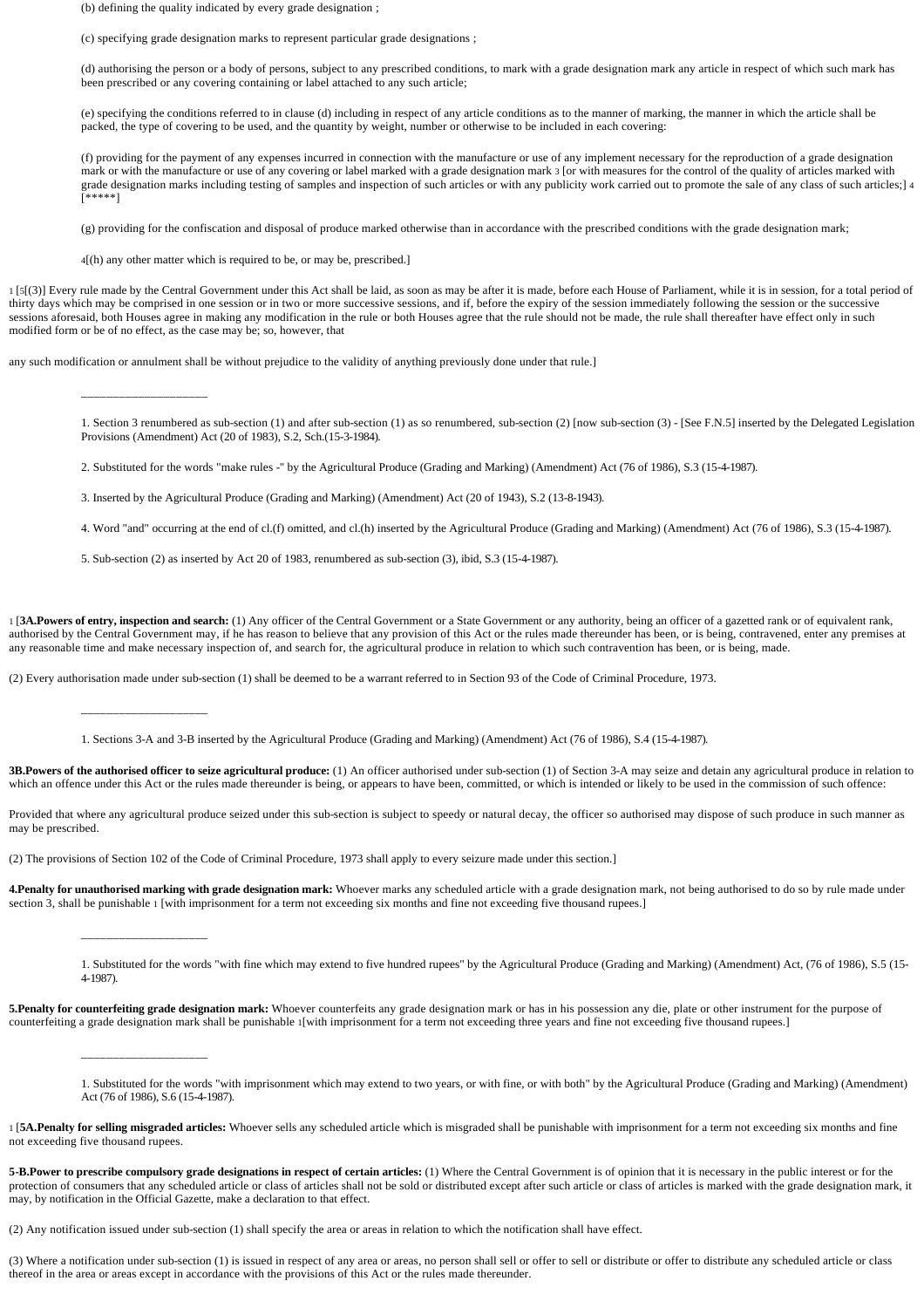(b) defining the quality indicated by every grade designation ;

(c) specifying grade designation marks to represent particular grade designations ;

(d) authorising the person or a body of persons, subject to any prescribed conditions, to mark with a grade designation mark any article in respect of which such mark has been prescribed or any covering containing or label attached to any such article;

(e) specifying the conditions referred to in clause (d) including in respect of any article conditions as to the manner of marking, the manner in which the article shall be packed, the type of covering to be used, and the quantity by weight, number or otherwise to be included in each covering:

(f) providing for the payment of any expenses incurred in connection with the manufacture or use of any implement necessary for the reproduction of a grade designation mark or with the manufacture or use of any covering or label marked with a grade designation mark 3 [or with measures for the control of the quality of articles marked with grade designation marks including testing of samples and inspection of such articles or with any publicity work carried out to promote the sale of any class of such articles;] 4 [\*\*\*\*\*]

(g) providing for the confiscation and disposal of produce marked otherwise than in accordance with the prescribed conditions with the grade designation mark;

4[(h) any other matter which is required to be, or may be, prescribed.]

1 [5[(3)] Every rule made by the Central Government under this Act shall be laid, as soon as may be after it is made, before each House of Parliament, while it is in session, for a total period of thirty days which may be comprised in one session or in two or more successive sessions, and if, before the expiry of the session immediately following the session or the successive sessions aforesaid, both Houses agree in making any modification in the rule or both Houses agree that the rule should not be made, the rule shall thereafter have effect only in such modified form or be of no effect, as the case may be; so, however, that

any such modification or annulment shall be without prejudice to the validity of anything previously done under that rule.]

1. Section 3 renumbered as sub-section (1) and after sub-section (1) as so renumbered, sub-section (2) [now sub-section (3) - [See F.N.5] inserted by the Delegated Legislation Provisions (Amendment) Act (20 of 1983), S.2, Sch.(15-3-1984).

2. Substituted for the words "make rules -" by the Agricultural Produce (Grading and Marking) (Amendment) Act (76 of 1986), S.3 (15-4-1987).

3. Inserted by the Agricultural Produce (Grading and Marking) (Amendment) Act (20 of 1943), S.2 (13-8-1943).

4. Word "and" occurring at the end of cl.(f) omitted, and cl.(h) inserted by the Agricultural Produce (Grading and Marking) (Amendment) Act (76 of 1986), S.3 (15-4-1987).

5. Sub-section (2) as inserted by Act 20 of 1983, renumbered as sub-section (3), ibid, S.3 (15-4-1987).

1 [**3A.Powers of entry, inspection and search:** (1) Any officer of the Central Government or a State Government or any authority, being an officer of a gazetted rank or of equivalent rank, authorised by the Central Government may, if he has reason to believe that any provision of this Act or the rules made thereunder has been, or is being, contravened, enter any premises at any reasonable time and make necessary inspection of, and search for, the agricultural produce in relation to which such contravention has been, or is being, made.

(2) Every authorisation made under sub-section (1) shall be deemed to be a warrant referred to in Section 93 of the Code of Criminal Procedure, 1973.

\_\_\_\_\_\_\_\_\_\_\_\_\_\_\_\_\_\_\_\_

\_\_\_\_\_\_\_\_\_\_\_\_\_\_\_\_\_\_\_\_

\_\_\_\_\_\_\_\_\_\_\_\_\_\_\_\_\_\_\_\_

\_\_\_\_\_\_\_\_\_\_\_\_\_\_\_\_\_\_\_\_

1. Sections 3-A and 3-B inserted by the Agricultural Produce (Grading and Marking) (Amendment) Act (76 of 1986), S.4 (15-4-1987).

**3B.Powers of the authorised officer to seize agricultural produce:** (1) An officer authorised under sub-section (1) of Section 3-A may seize and detain any agricultural produce in relation to which an offence under this Act or the rules made thereunder is being, or appears to have been, committed, or which is intended or likely to be used in the commission of such offence:

Provided that where any agricultural produce seized under this sub-section is subject to speedy or natural decay, the officer so authorised may dispose of such produce in such manner as may be prescribed.

(2) The provisions of Section 102 of the Code of Criminal Procedure, 1973 shall apply to every seizure made under this section.]

4.Penalty for unauthorised marking with grade designation mark: Whoever marks any scheduled article with a grade designation mark, not being authorised to do so by rule made under section 3, shall be punishable 1 [with imprisonment for a term not exceeding six months and fine not exceeding five thousand rupees.]

1. Substituted for the words "with fine which may extend to five hundred rupees" by the Agricultural Produce (Grading and Marking) (Amendment) Act, (76 of 1986), S.5 (15- 4-1987).

**5.Penalty for counterfeiting grade designation mark:** Whoever counterfeits any grade designation mark or has in his possession any die, plate or other instrument for the purpose of counterfeiting a grade designation mark shall be punishable 1[with imprisonment for a term not exceeding three years and fine not exceeding five thousand rupees.]

1. Substituted for the words "with imprisonment which may extend to two years, or with fine, or with both" by the Agricultural Produce (Grading and Marking) (Amendment) Act (76 of 1986), S.6 (15-4-1987).

1 [**5A.Penalty for selling misgraded articles:** Whoever sells any scheduled article which is misgraded shall be punishable with imprisonment for a term not exceeding six months and fine not exceeding five thousand rupees.

5-B.Power to prescribe compulsory grade designations in respect of certain articles: (1) Where the Central Government is of opinion that it is necessary in the public interest or for the protection of consumers that any scheduled article or class of articles shall not be sold or distributed except after such article or class of articles is marked with the grade designation mark, it may, by notification in the Official Gazette, make a declaration to that effect.

(2) Any notification issued under sub-section (1) shall specify the area or areas in relation to which the notification shall have effect.

(3) Where a notification under sub-section (1) is issued in respect of any area or areas, no person shall sell or offer to sell or distribute or offer to distribute any scheduled article or class thereof in the area or areas except in accordance with the provisions of this Act or the rules made thereunder.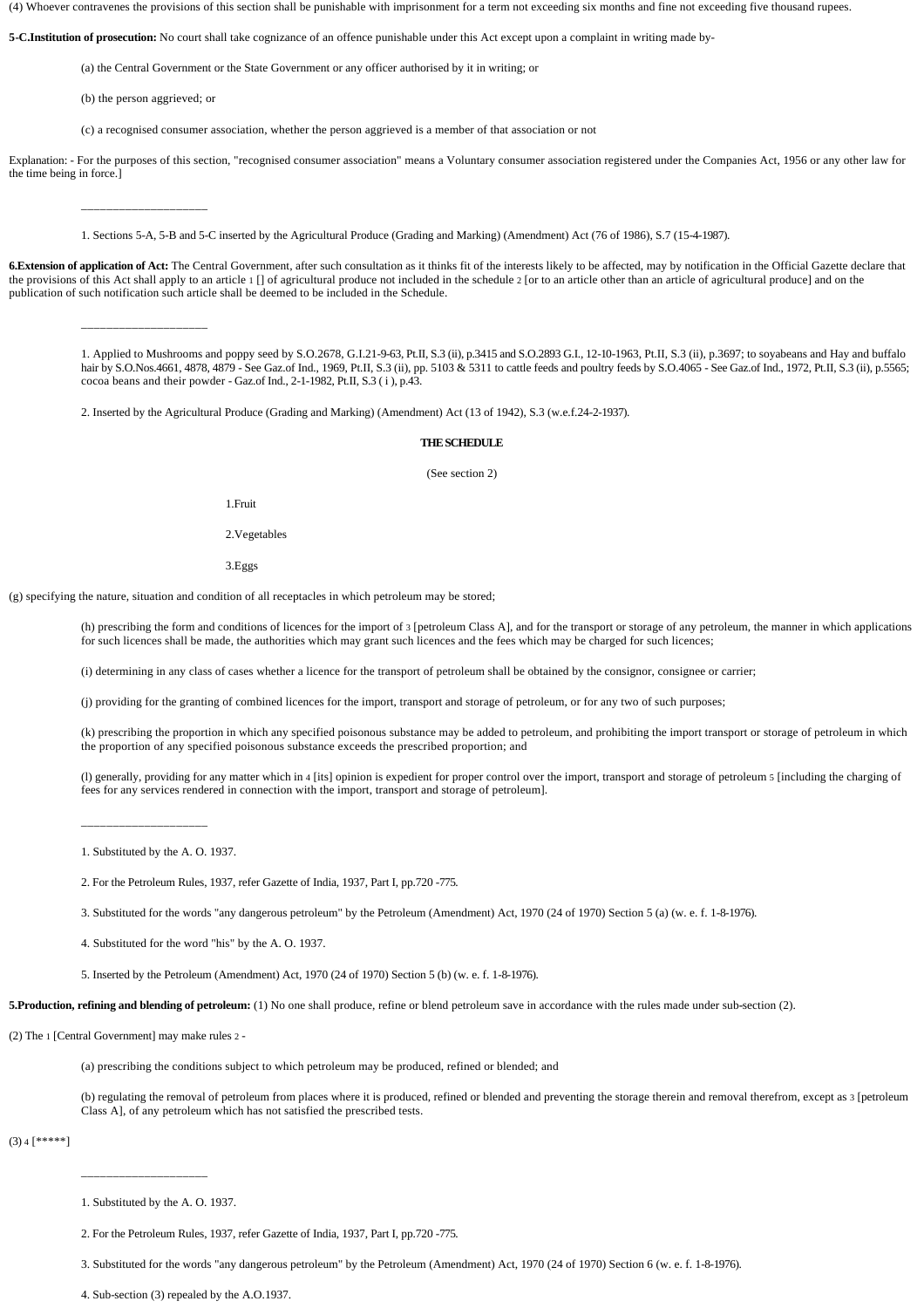(4) Whoever contravenes the provisions of this section shall be punishable with imprisonment for a term not exceeding six months and fine not exceeding five thousand rupees.

**5-C.Institution of prosecution:** No court shall take cognizance of an offence punishable under this Act except upon a complaint in writing made by-

(a) the Central Government or the State Government or any officer authorised by it in writing; or

(b) the person aggrieved; or

\_\_\_\_\_\_\_\_\_\_\_\_\_\_\_\_\_\_\_\_

(c) a recognised consumer association, whether the person aggrieved is a member of that association or not

Explanation: - For the purposes of this section, "recognised consumer association" means a Voluntary consumer association registered under the Companies Act, 1956 or any other law for the time being in force.]

1. Sections 5-A, 5-B and 5-C inserted by the Agricultural Produce (Grading and Marking) (Amendment) Act (76 of 1986), S.7 (15-4-1987).

**6.Extension of application of Act:** The Central Government, after such consultation as it thinks fit of the interests likely to be affected, may by notification in the Official Gazette declare that the provisions of this Act shall apply to an article  $1 \cap$  of agricultural produce not included in the schedule  $2 \mid$  or to an article other than an article of agricultural produce] and on the publication of such notification such article shall be deemed to be included in the Schedule.

\_\_\_\_\_\_\_\_\_\_\_\_\_\_\_\_\_\_\_\_

1. Applied to Mushrooms and poppy seed by S.O.2678, G.I.21-9-63, Pt.II, S.3 (ii), p.3415 and S.O.2893 G.I., 12-10-1963, Pt.II, S.3 (ii), p.3697; to soyabeans and Hay and buffalo hair by S.O.Nos.4661, 4878, 4879 - See Gaz.of Ind., 1969, Pt.II, S.3 (ii), pp. 5103 & 5311 to cattle feeds and poultry feeds by S.O.4065 - See Gaz.of Ind., 1972, Pt.II, S.3 (ii), p.5565; cocoa beans and their powder - Gaz.of Ind., 2-1-1982, Pt.II, S.3 ( i ), p.43.

2. Inserted by the Agricultural Produce (Grading and Marking) (Amendment) Act (13 of 1942), S.3 (w.e.f.24-2-1937).

#### **THE SCHEDULE**

(See section 2)

1.Fruit

2.Vegetables

3.Eggs

(g) specifying the nature, situation and condition of all receptacles in which petroleum may be stored;

(h) prescribing the form and conditions of licences for the import of 3 [petroleum Class A], and for the transport or storage of any petroleum, the manner in which applications for such licences shall be made, the authorities which may grant such licences and the fees which may be charged for such licences;

(i) determining in any class of cases whether a licence for the transport of petroleum shall be obtained by the consignor, consignee or carrier;

(j) providing for the granting of combined licences for the import, transport and storage of petroleum, or for any two of such purposes;

(k) prescribing the proportion in which any specified poisonous substance may be added to petroleum, and prohibiting the import transport or storage of petroleum in which the proportion of any specified poisonous substance exceeds the prescribed proportion; and

(l) generally, providing for any matter which in 4 [its] opinion is expedient for proper control over the import, transport and storage of petroleum 5 [including the charging of fees for any services rendered in connection with the import, transport and storage of petroleum].

\_\_\_\_\_\_\_\_\_\_\_\_\_\_\_\_\_\_\_\_

1. Substituted by the A. O. 1937.

2. For the Petroleum Rules, 1937, refer Gazette of India, 1937, Part I, pp.720 -775.

3. Substituted for the words "any dangerous petroleum" by the Petroleum (Amendment) Act, 1970 (24 of 1970) Section 5 (a) (w. e. f. 1-8-1976).

4. Substituted for the word "his" by the A. O. 1937.

5. Inserted by the Petroleum (Amendment) Act, 1970 (24 of 1970) Section 5 (b) (w. e. f. 1-8-1976).

**5.Production, refining and blending of petroleum:** (1) No one shall produce, refine or blend petroleum save in accordance with the rules made under sub**-**section (2).

(2) The 1 [Central Government] may make rules 2 -

(a) prescribing the conditions subject to which petroleum may be produced, refined or blended; and

(b) regulating the removal of petroleum from places where it is produced, refined or blended and preventing the storage therein and removal therefrom, except as 3 [petroleum Class A], of any petroleum which has not satisfied the prescribed tests.

 $(3)$  4  $[*****]$ 

\_\_\_\_\_\_\_\_\_\_\_\_\_\_\_\_\_\_\_\_

3. Substituted for the words "any dangerous petroleum" by the Petroleum (Amendment) Act, 1970 (24 of 1970) Section 6 (w. e. f. 1-8-1976).

4. Sub-section (3) repealed by the A.O.1937.

<sup>1.</sup> Substituted by the A. O. 1937.

<sup>2.</sup> For the Petroleum Rules, 1937, refer Gazette of India, 1937, Part I, pp.720 -775.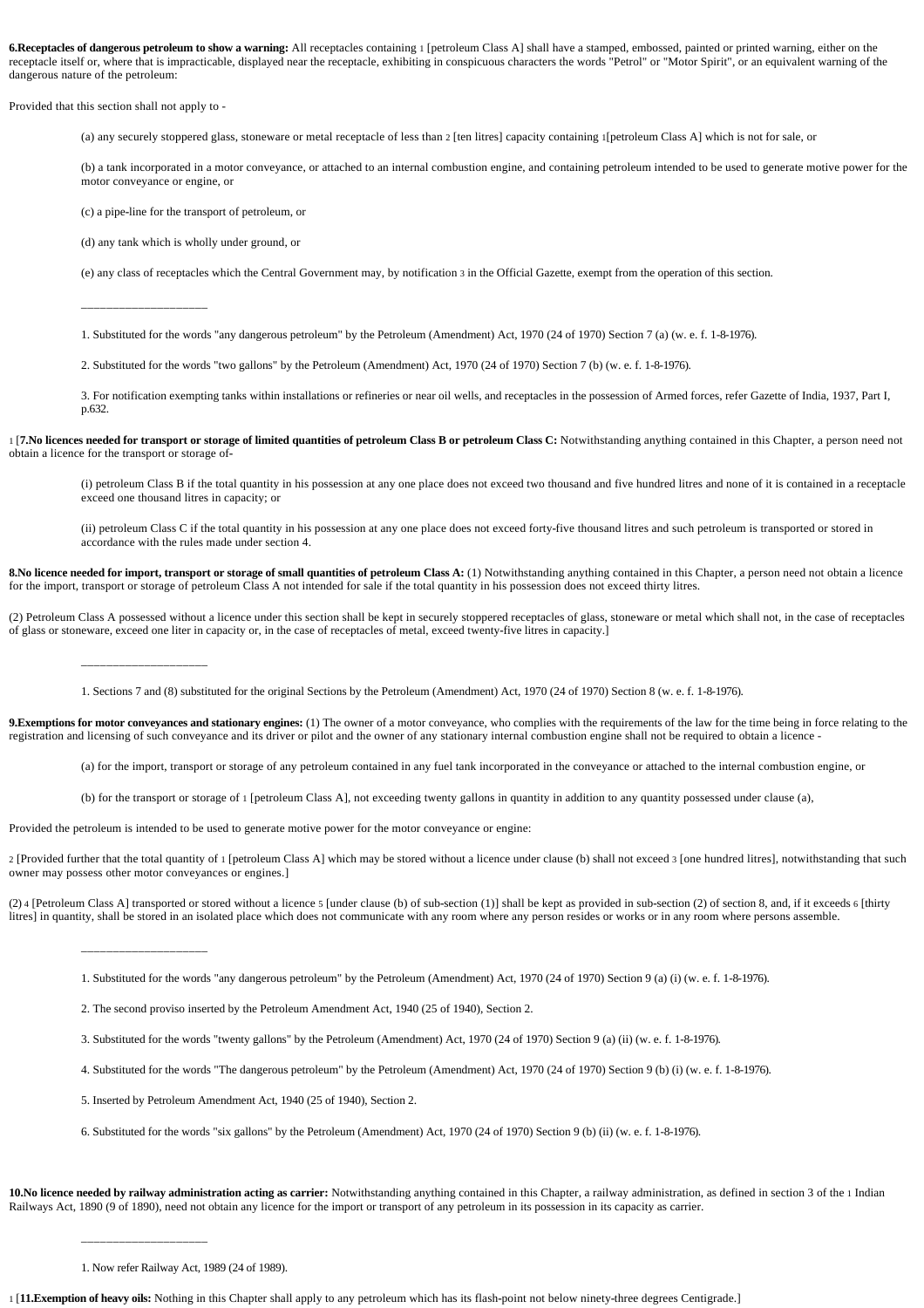**6.Receptacles of dangerous petroleum to show a warning:** All receptacles containing 1 [petroleum Class A] shall have a stamped, embossed, painted or printed warning, either on the receptacle itself or, where that is impracticable, displayed near the receptacle, exhibiting in conspicuous characters the words "Petrol" or "Motor Spirit", or an equivalent warning of the dangerous nature of the petroleum:

Provided that this section shall not apply to -

(a) any securely stoppered glass, stoneware or metal receptacle of less than 2 [ten litres] capacity containing 1[petroleum Class A] which is not for sale, or

(b) a tank incorporated in a motor conveyance, or attached to an internal combustion engine, and containing petroleum intended to be used to generate motive power for the motor conveyance or engine, or

(c) a pipe**-**line for the transport of petroleum, or

(d) any tank which is wholly under ground, or

(e) any class of receptacles which the Central Government may, by notification 3 in the Official Gazette, exempt from the operation of this section.

\_\_\_\_\_\_\_\_\_\_\_\_\_\_\_\_\_\_\_\_

\_\_\_\_\_\_\_\_\_\_\_\_\_\_\_\_\_\_\_\_

\_\_\_\_\_\_\_\_\_\_\_\_\_\_\_\_\_\_\_\_

1. Substituted for the words "any dangerous petroleum" by the Petroleum (Amendment) Act, 1970 (24 of 1970) Section 7 (a) (w. e. f. 1-8-1976).

2. Substituted for the words "two gallons" by the Petroleum (Amendment) Act, 1970 (24 of 1970) Section 7 (b) (w. e. f. 1-8-1976).

3. For notification exempting tanks within installations or refineries or near oil wells, and receptacles in the possession of Armed forces, refer Gazette of India, 1937, Part I, p.632.

1 [**7.No licences needed for transport or storage of limited quantities of petroleum Class B or petroleum Class C:** Notwithstanding anything contained in this Chapter, a person need not obtain a licence for the transport or storage of**-**

(i) petroleum Class B if the total quantity in his possession at any one place does not exceed two thousand and five hundred litres and none of it is contained in a receptacle exceed one thousand litres in capacity; or

(ii) petroleum Class C if the total quantity in his possession at any one place does not exceed forty**-**five thousand litres and such petroleum is transported or stored in accordance with the rules made under section 4.

8. No licence needed for import, transport or storage of small quantities of petroleum Class A: (1) Notwithstanding anything contained in this Chapter, a person need not obtain a licence for the import, transport or storage of petroleum Class A not intended for sale if the total quantity in his possession does not exceed thirty litres.

(2) Petroleum Class A possessed without a licence under this section shall be kept in securely stoppered receptacles of glass, stoneware or metal which shall not, in the case of receptacles of glass or stoneware, exceed one liter in capacity or, in the case of receptacles of metal, exceed twenty**-**five litres in capacity.]

1. Sections 7 and (8) substituted for the original Sections by the Petroleum (Amendment) Act, 1970 (24 of 1970) Section 8 (w. e. f. 1-8-1976).

**9.Exemptions for motor conveyances and stationary engines:** (1) The owner of a motor conveyance, who complies with the requirements of the law for the time being in force relating to the registration and licensing of such conveyance and its driver or pilot and the owner of any stationary internal combustion engine shall not be required to obtain a licence -

(a) for the import, transport or storage of any petroleum contained in any fuel tank incorporated in the conveyance or attached to the internal combustion engine, or

(b) for the transport or storage of 1 [petroleum Class A], not exceeding twenty gallons in quantity in addition to any quantity possessed under clause (a),

Provided the petroleum is intended to be used to generate motive power for the motor conveyance or engine:

2 [Provided further that the total quantity of 1 [petroleum Class A] which may be stored without a licence under clause (b) shall not exceed 3 [one hundred litres], notwithstanding that such owner may possess other motor conveyances or engines.]

(2) 4 [Petroleum Class A] transported or stored without a licence 5 [under clause (b) of sub**-**section (1)] shall be kept as provided in sub**-**section (2) of section 8, and, if it exceeds 6 [thirty litres] in quantity, shall be stored in an isolated place which does not communicate with any room where any person resides or works or in any room where persons assemble.

1. Substituted for the words "any dangerous petroleum" by the Petroleum (Amendment) Act, 1970 (24 of 1970) Section 9 (a) (i) (w. e. f. 1-8-1976).

2. The second proviso inserted by the Petroleum Amendment Act, 1940 (25 of 1940), Section 2.

3. Substituted for the words "twenty gallons" by the Petroleum (Amendment) Act, 1970 (24 of 1970) Section 9 (a) (ii) (w. e. f. 1-8-1976).

4. Substituted for the words "The dangerous petroleum" by the Petroleum (Amendment) Act, 1970 (24 of 1970) Section 9 (b) (i) (w. e. f. 1-8-1976).

5. Inserted by Petroleum Amendment Act, 1940 (25 of 1940), Section 2.

6. Substituted for the words "six gallons" by the Petroleum (Amendment) Act, 1970 (24 of 1970) Section 9 (b) (ii) (w. e. f. 1-8-1976).

10. No licence needed by railway administration acting as carrier: Notwithstanding anything contained in this Chapter, a railway administration, as defined in section 3 of the 1 Indian Railways Act, 1890 (9 of 1890), need not obtain any licence for the import or transport of any petroleum in its possession in its capacity as carrier.

\_\_\_\_\_\_\_\_\_\_\_\_\_\_\_\_\_\_\_\_

1 [**11.Exemption of heavy oils:** Nothing in this Chapter shall apply to any petroleum which has its flash**-**point not below ninety**-**three degrees Centigrade.]

<sup>1.</sup> Now refer Railway Act, 1989 (24 of 1989).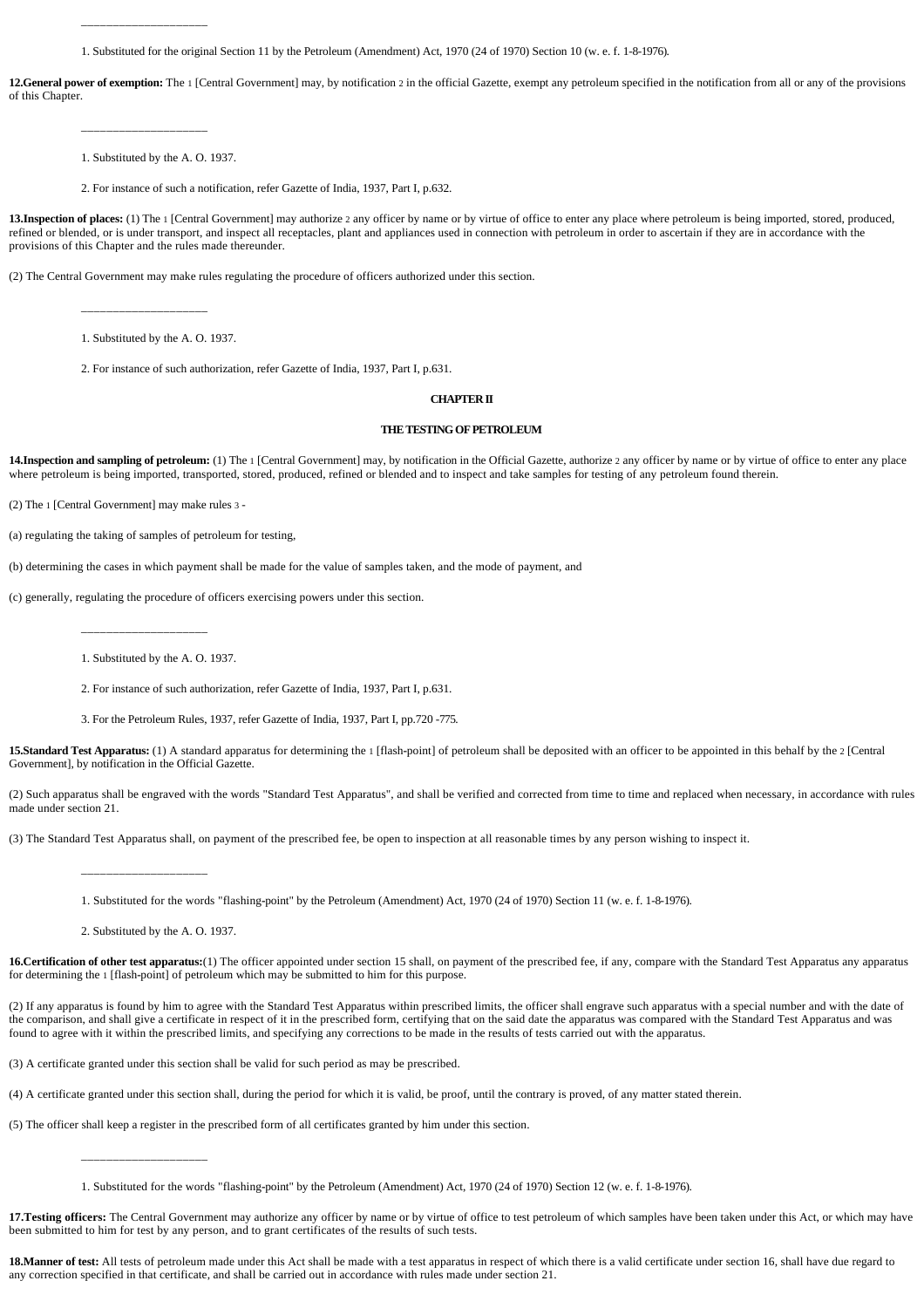1. Substituted for the original Section 11 by the Petroleum (Amendment) Act, 1970 (24 of 1970) Section 10 (w. e. f. 1-8-1976).

**12.General power of exemption:** The 1 [Central Government] may, by notification 2 in the official Gazette, exempt any petroleum specified in the notification from all or any of the provisions of this Chapter.

1. Substituted by the A. O. 1937.

\_\_\_\_\_\_\_\_\_\_\_\_\_\_\_\_\_\_\_\_

\_\_\_\_\_\_\_\_\_\_\_\_\_\_\_\_\_\_\_\_

2. For instance of such a notification, refer Gazette of India, 1937, Part I, p.632.

**13.Inspection of places:** (1) The 1 [Central Government] may authorize 2 any officer by name or by virtue of office to enter any place where petroleum is being imported, stored, produced, refined or blended, or is under transport, and inspect all receptacles, plant and appliances used in connection with petroleum in order to ascertain if they are in accordance with the provisions of this Chapter and the rules made thereunder.

(2) The Central Government may make rules regulating the procedure of officers authorized under this section.

\_\_\_\_\_\_\_\_\_\_\_\_\_\_\_\_\_\_\_\_ 1. Substituted by the A. O. 1937.

2. For instance of such authorization, refer Gazette of India, 1937, Part I, p.631.

# **CHAPTER II**

### **THE TESTING OF PETROLEUM**

14. Inspection and sampling of petroleum: (1) The 1 [Central Government] may, by notification in the Official Gazette, authorize 2 any officer by name or by virtue of office to enter any place where petroleum is being imported, transported, stored, produced, refined or blended and to inspect and take samples for testing of any petroleum found therein.

(2) The 1 [Central Government] may make rules 3 -

(a) regulating the taking of samples of petroleum for testing,

(b) determining the cases in which payment shall be made for the value of samples taken, and the mode of payment, and

(c) generally, regulating the procedure of officers exercising powers under this section.

\_\_\_\_\_\_\_\_\_\_\_\_\_\_\_\_\_\_\_\_

1. Substituted by the A. O. 1937.

2. For instance of such authorization, refer Gazette of India, 1937, Part I, p.631.

3. For the Petroleum Rules, 1937, refer Gazette of India, 1937, Part I, pp.720 -775.

**15.Standard Test Apparatus:** (1) A standard apparatus for determining the 1 [flash**-**point] of petroleum shall be deposited with an officer to be appointed in this behalf by the 2 [Central Government], by notification in the Official Gazette.

(2) Such apparatus shall be engraved with the words "Standard Test Apparatus", and shall be verified and corrected from time to time and replaced when necessary, in accordance with rules made under section 21.

(3) The Standard Test Apparatus shall, on payment of the prescribed fee, be open to inspection at all reasonable times by any person wishing to inspect it.

1. Substituted for the words "flashing**-**point" by the Petroleum (Amendment) Act, 1970 (24 of 1970) Section 11 (w. e. f. 1-8-1976).

2. Substituted by the A. O. 1937.

\_\_\_\_\_\_\_\_\_\_\_\_\_\_\_\_\_\_\_\_

\_\_\_\_\_\_\_\_\_\_\_\_\_\_\_\_\_\_\_\_

16. Certification of other test apparatus:(1) The officer appointed under section 15 shall, on payment of the prescribed fee, if any, compare with the Standard Test Apparatus any apparatus for determining the 1 [flash**-**point] of petroleum which may be submitted to him for this purpose.

(2) If any apparatus is found by him to agree with the Standard Test Apparatus within prescribed limits, the officer shall engrave such apparatus with a special number and with the date of the comparison, and shall give a certificate in respect of it in the prescribed form, certifying that on the said date the apparatus was compared with the Standard Test Apparatus and was found to agree with it within the prescribed limits, and specifying any corrections to be made in the results of tests carried out with the apparatus.

(3) A certificate granted under this section shall be valid for such period as may be prescribed.

(4) A certificate granted under this section shall, during the period for which it is valid, be proof, until the contrary is proved, of any matter stated therein.

(5) The officer shall keep a register in the prescribed form of all certificates granted by him under this section.

1. Substituted for the words "flashing**-**point" by the Petroleum (Amendment) Act, 1970 (24 of 1970) Section 12 (w. e. f. 1-8-1976).

17. Testing officers: The Central Government may authorize any officer by name or by virtue of office to test petroleum of which samples have been taken under this Act, or which may have been submitted to him for test by any person, and to grant certificates of the results of such tests.

18.Manner of test: All tests of petroleum made under this Act shall be made with a test apparatus in respect of which there is a valid certificate under section 16, shall have due regard to any correction specified in that certificate, and shall be carried out in accordance with rules made under section 21.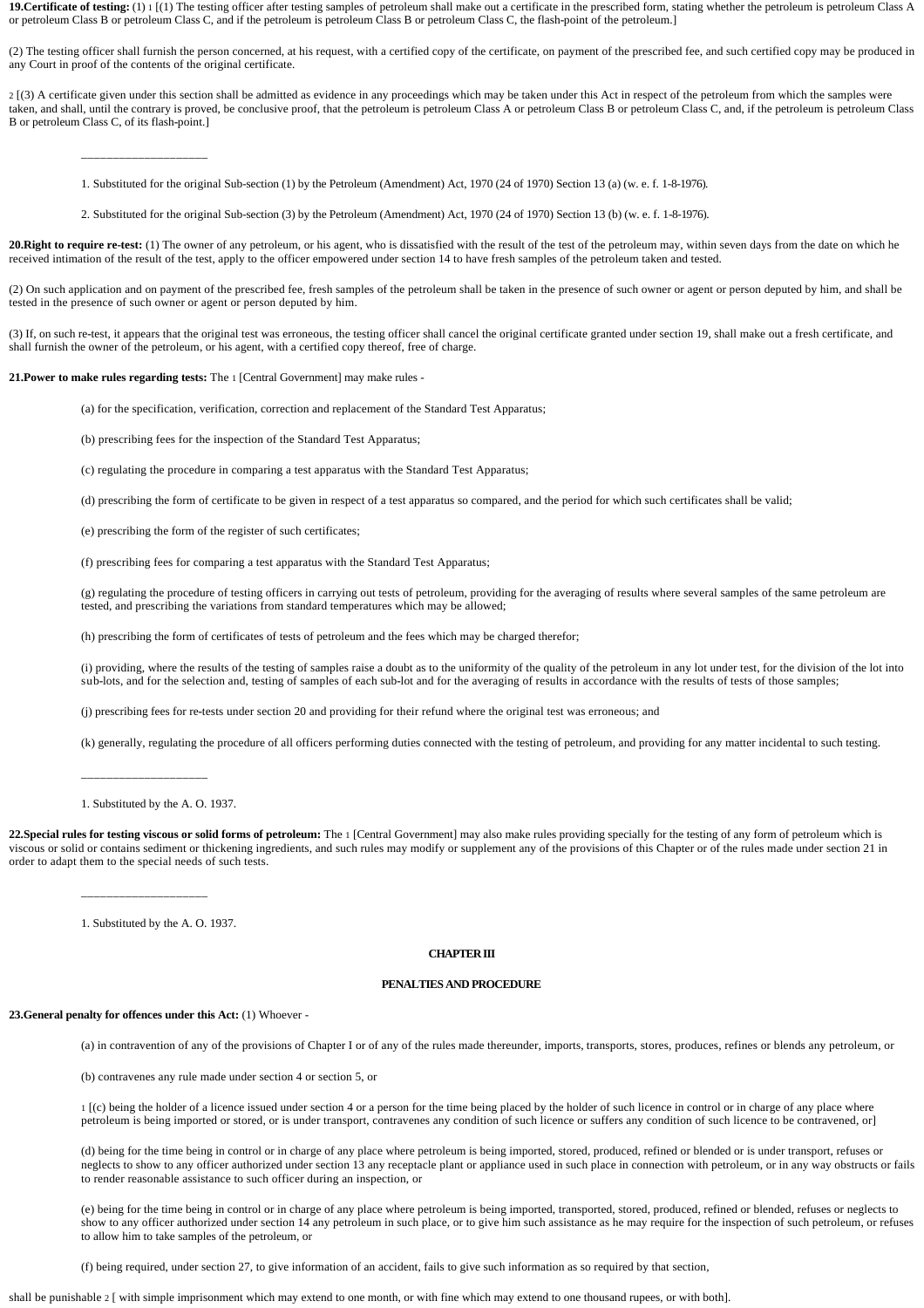19. Certificate of testing: (1) 1 [(1) The testing officer after testing samples of petroleum shall make out a certificate in the prescribed form, stating whether the petroleum is petroleum Class A or petroleum Class B or petroleum Class C, and if the petroleum is petroleum Class B or petroleum Class C, the flash**-**point of the petroleum.]

(2) The testing officer shall furnish the person concerned, at his request, with a certified copy of the certificate, on payment of the prescribed fee, and such certified copy may be produced in any Court in proof of the contents of the original certificate.

2 [(3) A certificate given under this section shall be admitted as evidence in any proceedings which may be taken under this Act in respect of the petroleum from which the samples were taken, and shall, until the contrary is proved, be conclusive proof, that the petroleum is petroleum Class A or petroleum Class B or petroleum Class C, and, if the petroleum is petroleum Class B or petroleum Class C, of its flash**-**point.]

- 1. Substituted for the original Sub-section (1) by the Petroleum (Amendment) Act, 1970 (24 of 1970) Section 13 (a) (w. e. f. 1-8-1976).
- 2. Substituted for the original Sub-section (3) by the Petroleum (Amendment) Act, 1970 (24 of 1970) Section 13 (b) (w. e. f. 1-8-1976).

20.Right to require re-test: (1) The owner of any petroleum, or his agent, who is dissatisfied with the result of the test of the petroleum may, within seven days from the date on which he received intimation of the result of the test, apply to the officer empowered under section 14 to have fresh samples of the petroleum taken and tested.

(2) On such application and on payment of the prescribed fee, fresh samples of the petroleum shall be taken in the presence of such owner or agent or person deputed by him, and shall be tested in the presence of such owner or agent or person deputed by him.

(3) If, on such re**-**test, it appears that the original test was erroneous, the testing officer shall cancel the original certificate granted under section 19, shall make out a fresh certificate, and shall furnish the owner of the petroleum, or his agent, with a certified copy thereof, free of charge.

**21.Power to make rules regarding tests:** The 1 [Central Government] may make rules -

\_\_\_\_\_\_\_\_\_\_\_\_\_\_\_\_\_\_\_\_

(a) for the specification, verification, correction and replacement of the Standard Test Apparatus;

(b) prescribing fees for the inspection of the Standard Test Apparatus;

(c) regulating the procedure in comparing a test apparatus with the Standard Test Apparatus;

(d) prescribing the form of certificate to be given in respect of a test apparatus so compared, and the period for which such certificates shall be valid;

(e) prescribing the form of the register of such certificates;

(f) prescribing fees for comparing a test apparatus with the Standard Test Apparatus;

(g) regulating the procedure of testing officers in carrying out tests of petroleum, providing for the averaging of results where several samples of the same petroleum are tested, and prescribing the variations from standard temperatures which may be allowed;

(h) prescribing the form of certificates of tests of petroleum and the fees which may be charged therefor;

(i) providing, where the results of the testing of samples raise a doubt as to the uniformity of the quality of the petroleum in any lot under test, for the division of the lot into sub-lots, and for the selection and, testing of samples of each sub-lot and for the averaging of results in accordance with the results of tests of those samples;

(j) prescribing fees for re**-**tests under section 20 and providing for their refund where the original test was erroneous; and

(k) generally, regulating the procedure of all officers performing duties connected with the testing of petroleum, and providing for any matter incidental to such testing.

1. Substituted by the A. O. 1937.

\_\_\_\_\_\_\_\_\_\_\_\_\_\_\_\_\_\_\_\_

22.Special rules for testing viscous or solid forms of petroleum: The 1 [Central Government] may also make rules providing specially for the testing of any form of petroleum which is viscous or solid or contains sediment or thickening ingredients, and such rules may modify or supplement any of the provisions of this Chapter or of the rules made under section 21 in order to adapt them to the special needs of such tests.

1. Substituted by the A. O. 1937.

\_\_\_\_\_\_\_\_\_\_\_\_\_\_\_\_\_\_\_\_

#### **CHAPTER III**

### **PENALTIES AND PROCEDURE**

### **23.General penalty for offences under this Act:** (1) Whoever -

(a) in contravention of any of the provisions of Chapter I or of any of the rules made thereunder, imports, transports, stores, produces, refines or blends any petroleum, or

(b) contravenes any rule made under section 4 or section 5, or

1 [(c) being the holder of a licence issued under section 4 or a person for the time being placed by the holder of such licence in control or in charge of any place where petroleum is being imported or stored, or is under transport, contravenes any condition of such licence or suffers any condition of such licence to be contravened, or]

(d) being for the time being in control or in charge of any place where petroleum is being imported, stored, produced, refined or blended or is under transport, refuses or neglects to show to any officer authorized under section 13 any receptacle plant or appliance used in such place in connection with petroleum, or in any way obstructs or fails to render reasonable assistance to such officer during an inspection, or

(e) being for the time being in control or in charge of any place where petroleum is being imported, transported, stored, produced, refined or blended, refuses or neglects to show to any officer authorized under section 14 any petroleum in such place, or to give him such assistance as he may require for the inspection of such petroleum, or refuses to allow him to take samples of the petroleum, or

(f) being required, under section 27, to give information of an accident, fails to give such information as so required by that section,

shall be punishable 2 [ with simple imprisonment which may extend to one month, or with fine which may extend to one thousand rupees, or with both].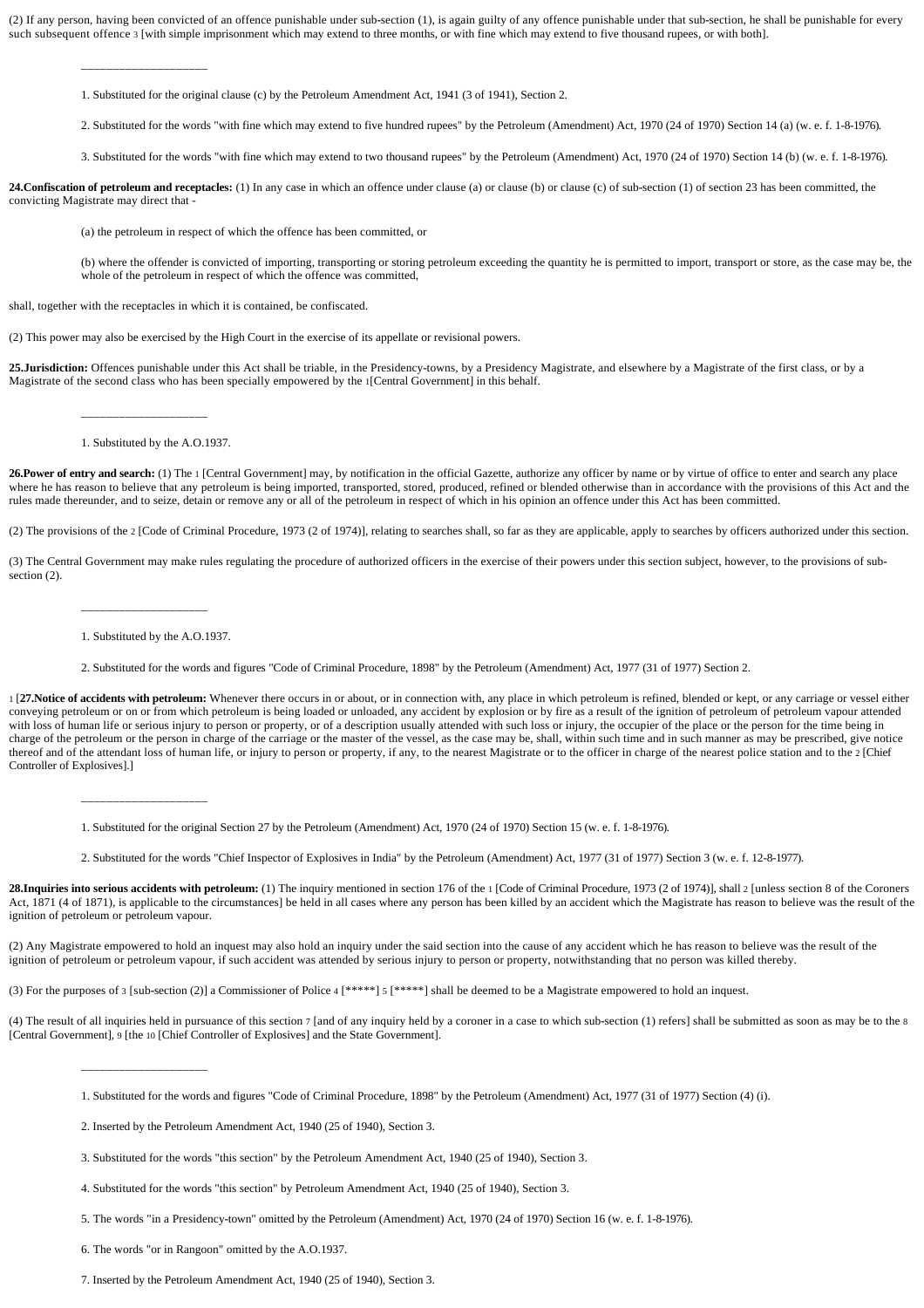(2) If any person, having been convicted of an offence punishable under sub**-**section (1), is again guilty of any offence punishable under that sub**-**section, he shall be punishable for every such subsequent offence 3 [with simple imprisonment which may extend to three months, or with fine which may extend to five thousand rupees, or with both].

\_\_\_\_\_\_\_\_\_\_\_\_\_\_\_\_\_\_\_\_

1. Substituted for the original clause (c) by the Petroleum Amendment Act, 1941 (3 of 1941), Section 2.

2. Substituted for the words "with fine which may extend to five hundred rupees" by the Petroleum (Amendment) Act, 1970 (24 of 1970) Section 14 (a) (w. e. f. 1-8-1976).

3. Substituted for the words "with fine which may extend to two thousand rupees" by the Petroleum (Amendment) Act, 1970 (24 of 1970) Section 14 (b) (w. e. f. 1-8-1976).

**24.Confiscation of petroleum and receptacles:** (1) In any case in which an offence under clause (a) or clause (b) or clause (c) of sub**-**section (1) of section 23 has been committed, the convicting Magistrate may direct that -

(a) the petroleum in respect of which the offence has been committed, or

(b) where the offender is convicted of importing, transporting or storing petroleum exceeding the quantity he is permitted to import, transport or store, as the case may be, the whole of the petroleum in respect of which the offence was committed,

shall, together with the receptacles in which it is contained, be confiscated.

(2) This power may also be exercised by the High Court in the exercise of its appellate or revisional powers.

25.**Jurisdiction:** Offences punishable under this Act shall be triable, in the Presidency-towns, by a Presidency Magistrate, and elsewhere by a Magistrate of the first class, or by a Magistrate of the second class who has been specially empowered by the 1[Central Government] in this behalf.

\_\_\_\_\_\_\_\_\_\_\_\_\_\_\_\_\_\_\_\_

## 1. Substituted by the A.O.1937.

**26.Power of entry and search:** (1) The 1 [Central Government] may, by notification in the official Gazette, authorize any officer by name or by virtue of office to enter and search any place where he has reason to believe that any petroleum is being imported, transported, stored, produced, refined or blended otherwise than in accordance with the provisions of this Act and the rules made thereunder, and to seize, detain or remove any or all of the petroleum in respect of which in his opinion an offence under this Act has been committed.

(2) The provisions of the 2 [Code of Criminal Procedure, 1973 (2 of 1974)], relating to searches shall, so far as they are applicable, apply to searches by officers authorized under this section.

(3) The Central Government may make rules regulating the procedure of authorized officers in the exercise of their powers under this section subject, however, to the provisions of subsection (2).

\_\_\_\_\_\_\_\_\_\_\_\_\_\_\_\_\_\_\_\_

\_\_\_\_\_\_\_\_\_\_\_\_\_\_\_\_\_\_\_\_

\_\_\_\_\_\_\_\_\_\_\_\_\_\_\_\_\_\_\_\_

1. Substituted by the A.O.1937.

2. Substituted for the words and figures "Code of Criminal Procedure, 1898" by the Petroleum (Amendment) Act, 1977 (31 of 1977) Section 2.

1 [**27.Notice of accidents with petroleum:** Whenever there occurs in or about, or in connection with, any place in which petroleum is refined, blended or kept, or any carriage or vessel either conveying petroleum or on or from which petroleum is being loaded or unloaded, any accident by explosion or by fire as a result of the ignition of petroleum of petroleum vapour attended with loss of human life or serious injury to person or property, or of a description usually attended with such loss or injury, the occupier of the place or the person for the time being in charge of the petroleum or the person in charge of the carriage or the master of the vessel, as the case may be, shall, within such time and in such manner as may be prescribed, give notice thereof and of the attendant loss of human life, or injury to person or property, if any, to the nearest Magistrate or to the officer in charge of the nearest police station and to the 2 [Chief Controller of Explosives].]

1. Substituted for the original Section 27 by the Petroleum (Amendment) Act, 1970 (24 of 1970) Section 15 (w. e. f. 1-8-1976).

2. Substituted for the words "Chief Inspector of Explosives in India" by the Petroleum (Amendment) Act, 1977 (31 of 1977) Section 3 (w. e. f. 12-8-1977).

28.Inquiries into serious accidents with petroleum: (1) The inquiry mentioned in section 176 of the 1 [Code of Criminal Procedure, 1973 (2 of 1974)], shall 2 [unless section 8 of the Coroners Act, 1871 (4 of 1871), is applicable to the circumstances] be held in all cases where any person has been killed by an accident which the Magistrate has reason to believe was the result of the ignition of petroleum or petroleum vapour.

(2) Any Magistrate empowered to hold an inquest may also hold an inquiry under the said section into the cause of any accident which he has reason to believe was the result of the ignition of petroleum or petroleum vapour, if such accident was attended by serious injury to person or property, notwithstanding that no person was killed thereby.

(3) For the purposes of 3 [sub**-**section (2)] a Commissioner of Police 4 [\*\*\*\*\*] 5 [\*\*\*\*\*] shall be deemed to be a Magistrate empowered to hold an inquest.

(4) The result of all inquiries held in pursuance of this section 7 [and of any inquiry held by a coroner in a case to which sub**-**section (1) refers] shall be submitted as soon as may be to the 8 [Central Government], 9 [the 10 [Chief Controller of Explosives] and the State Government].

4. Substituted for the words "this section" by Petroleum Amendment Act, 1940 (25 of 1940), Section 3.

5. The words "in a Presidency**-**town" omitted by the Petroleum (Amendment) Act, 1970 (24 of 1970) Section 16 (w. e. f. 1-8-1976).

6. The words "or in Rangoon" omitted by the A.O.1937.

<sup>1.</sup> Substituted for the words and figures "Code of Criminal Procedure, 1898" by the Petroleum (Amendment) Act, 1977 (31 of 1977) Section (4) (i).

<sup>2.</sup> Inserted by the Petroleum Amendment Act, 1940 (25 of 1940), Section 3.

<sup>3.</sup> Substituted for the words "this section" by the Petroleum Amendment Act, 1940 (25 of 1940), Section 3.

<sup>7.</sup> Inserted by the Petroleum Amendment Act, 1940 (25 of 1940), Section 3.